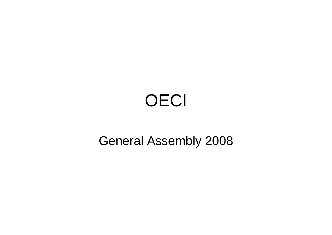# **OECI**

#### General Assembly 2008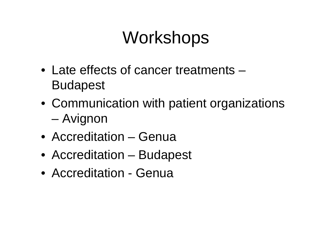## **Workshops**

- Late effects of cancer treatments –Budapest
- Communication with patient organizations –Avignon
- Accreditation Genua
- Accreditation Budapest
- Accreditation Genua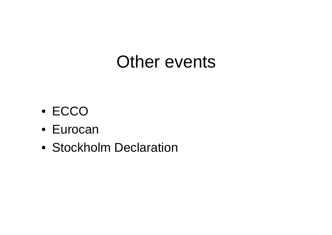### Other events

- ECCO
- Eurocan
- Stockholm Declaration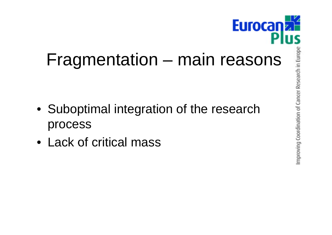

- Suboptimal integration of the research process
- Lack of critical mass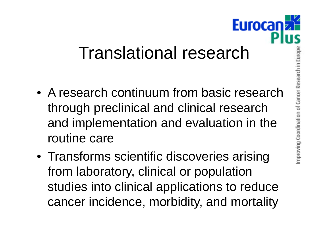## Translational research

- A research continuum from basic research through preclinical and clinical research and implementation and evaluation in the routine care
- Transforms scientific discoveries arising from laboratory, clinical or population studies into clinical applications to reduce cancer incidence, morbidity, and mortality

**Euroca**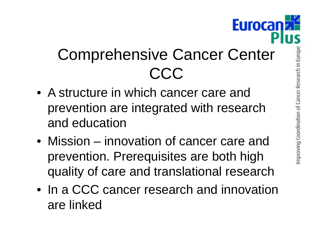

### Comprehensive Cancer Center CCC

- A structure in which cancer care and prevention are integrated with research and education
- Mission–– innovation of cancer care and prevention. Prerequisites are both high quality of care and translational research
- In a CCC cancer research and innovation are linked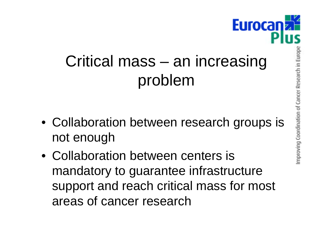## Critical mass – an increasing problem

- Collaboration between research groups is not enough
- Collaboration between centers is mandatory to guarantee infrastructure support and reach critical mass for most areas of cancer research

**Euroca**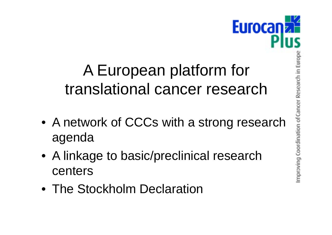#### A European platform for translational cancer research

- A network of CCCs with a strong research a genda
- A linkage to basic/preclinical research centers
- The Stockholm Declaration

**Eurocani**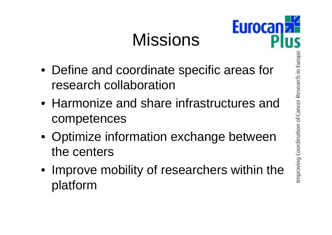# Missions



- Define and coordinate specific areas for research collaboration
- Harmonize and share infrastructures and competences
- Optimize information exchange between the centers
- Improve mobility of researchers within the platform